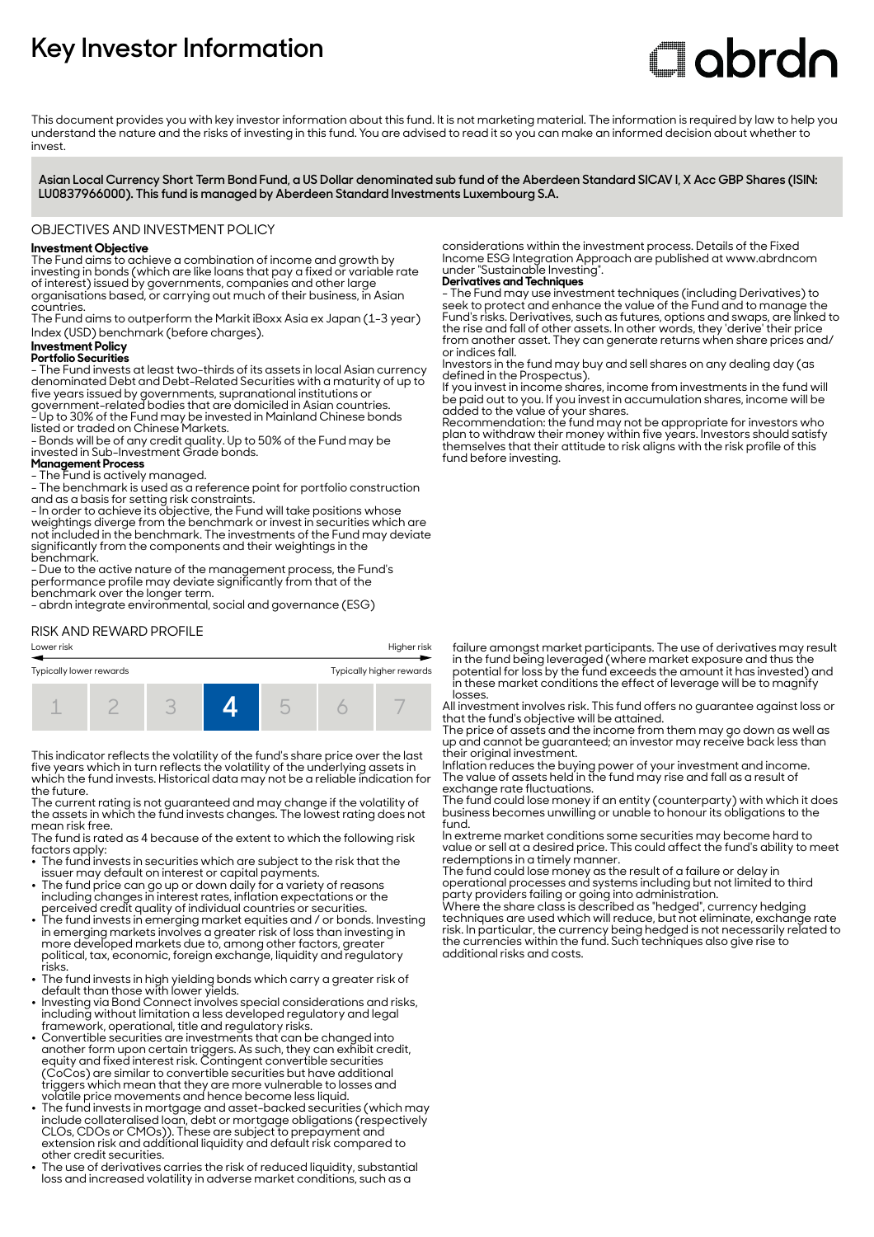# **Key Investor Information**

# **Clobrdn**

This document provides you with key investor information about this fund. It is not marketing material. The information is required by law to help you understand the nature and the risks of investing in this fund. You are advised to read it so you can make an informed decision about whether to invest

**Asian Local Currency Short Term Bond Fund, a US Dollar denominated sub fund of the Aberdeen Standard SICAV I, X Acc GBP Shares (ISIN: LU0837966000). This fund is managed by Aberdeen Standard Investments Luxembourg S.A.**

#### OBJECTIVES AND INVESTMENT POLICY

# **Investment Objective**

The Fund aims to achieve a combination of income and growth by investing in bonds (which are like loans that pay a fixed or variable rate of interest) issued by governments, companies and other large organisations based, or carrying out much of their business, in Asian countries.

The Fund aims to outperform the Markit iBoxx Asia ex Japan (1-3 year) Index (USD) benchmark (before charges).

# **Investment Policy**

#### **Portfolio Securities**

- The Fund invests at least two-thirds of its assets in local Asian currency denominated Debt and Debt-Related Securities with a maturity of up to five years issued by governments, supranational institutions or government-related bodies that are domiciled in Asian countries. - Up to 30% of the Fund may be invested in Mainland Chinese bonds listed or traded on Chinese Markets.

- Bonds will be of any credit quality. Up to 50% of the Fund may be invested in Sub-Investment Grade bonds.

#### **Management Process**

- The Fund is actively managed.

- The benchmark is used as a reference point for portfolio construction and as a basis for setting risk constraints.

- In order to achieve its objective, the Fund will take positions whose weightings diverge from the benchmark or invest in securities which are not included in the benchmark. The investments of the Fund may deviate significantly from the components and their weightings in the benchmark.

- Due to the active nature of the management process, the Fund's performance profile may deviate significantly from that of the benchmark over the longer term.

- abrdn integrate environmental, social and governance (ESG)

# RISK AND REWARD PROFILE



This indicator reflects the volatility of the fund's share price over the last five years which in turn reflects the volatility of the underlying assets in which the fund invests. Historical data may not be a reliable indication for the future.

The current rating is not guaranteed and may change if the volatility of the assets in which the fund invests changes. The lowest rating does not mean risk free.

The fund is rated as 4 because of the extent to which the following risk factors apply:

- The fund invests in securities which are subject to the risk that the issuer may default on interest or capital payments.
- The fund price can go up or down daily for a variety of reasons including changes in interest rates, inflation expectations or the
- perceived credit quality of individual countries or securities. 2 The fund invests in emerging market equities and / or bonds. Investing in emerging markets involves a greater risk of loss than investing in more developed markets due to, among other factors, greater political, tax, economic, foreign exchange, liquidity and regulatory
- risks. 2 The fund invests in high yielding bonds which carry a greater risk of default than those with lower yields.
- Investing via Bond Connect involves special considerations and risks, including without limitation a less developed regulatory and legal framework, operational, title and regulatory risks.
- Convertible securities are investments that can be changed into another form upon certain triggers. As such, they can exhibit credit, equity and fixed interest risk. Contingent convertible securities (CoCos) are similar to convertible securities but have additional triggers which mean that they are more vulnerable to losses and volatile price movements and hence become less liquid.
- The fund invests in mortgage and asset-backed securities (which may include collateralised loan, debt or mortgage obligations (respectively CLOs, CDOs or CMOs)). These are subject to prepayment and extension risk and additional liquidity and default risk compared to other credit securities.
- The use of derivatives carries the risk of reduced liquidity, substantial loss and increased volatility in adverse market conditions, such as a

considerations within the investment process. Details of the Fixed Income ESG Integration Approach are published at www.abrdncom under "Sustainable Investing".

**Derivatives and Techniques** - The Fund may use investment techniques (including Derivatives) to seek to protect and enhance the value of the Fund and to manage the Fund's risks. Derivatives, such as futures, options and swaps, are linked to the rise and fall of other assets. In other words, they 'derive' their price from another asset. They can generate returns when share prices and/ or indices fall.

Investors in the fund may buy and sell shares on any dealing day (as defined in the Prospectus).

If you invest in income shares, income from investments in the fund will be paid out to you. If you invest in accumulation shares, income will be added to the value of your shares.

Recommendation: the fund may not be appropriate for investors who plan to withdraw their money within five years. Investors should satisfy themselves that their attitude to risk aligns with the risk profile of this fund before investing.

failure amongst market participants. The use of derivatives may result in the fund being leveraged (where market exposure and thus the potential for loss by the fund exceeds the amount it has invested) and in these market conditions the effect of leverage will be to magnify losses.

All investment involves risk. This fund offers no guarantee against loss or that the fund's objective will be attained.

The price of assets and the income from them may go down as well as up and cannot be guaranteed; an investor may receive back less than their original investment.

Inflation reduces the buying power of your investment and income. The value of assets held in the fund may rise and fall as a result of exchange rate fluctuations.

The fund could lose money if an entity (counterparty) with which it does business becomes unwilling or unable to honour its obligations to the fund.

In extreme market conditions some securities may become hard to value or sell at a desired price. This could affect the fund's ability to meet redemptions in a timely manner.

The fund could lose money as the result of a failure or delay in operational processes and systems including but not limited to third party providers failing or going into administration.

Where the share class is described as "hedged", currency hedging techniques are used which will reduce, but not eliminate, exchange rate risk. In particular, the currency being hedged is not necessarily related to the currencies within the fund. Such techniques also give rise to additional risks and costs.